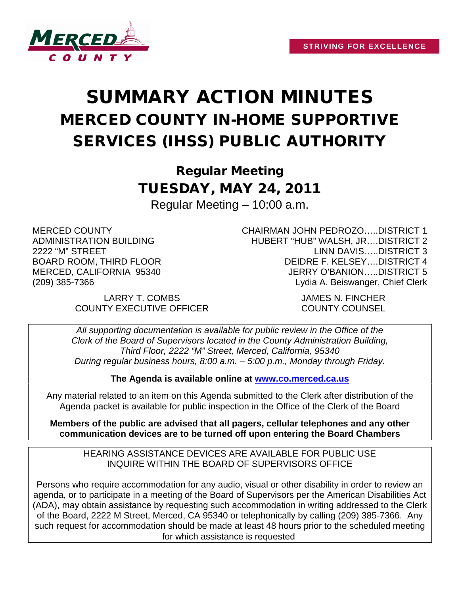

# SUMMARY ACTION MINUTES MERCED COUNTY IN-HOME SUPPORTIVE SERVICES (IHSS) PUBLIC AUTHORITY

Regular Meeting TUESDAY, MAY 24, 2011 Regular Meeting – 10:00 a.m.

MERCED COUNTY ADMINISTRATION BUILDING 2222 "M" STREET BOARD ROOM, THIRD FLOOR MERCED, CALIFORNIA 95340 (209) 385-7366

> LARRY T. COMBS JAMES N. FINCHER COUNTY EXECUTIVE OFFICER COUNTY COUNSEL

CHAIRMAN JOHN PEDROZO…..DISTRICT 1 HUBERT "HUB" WALSH, JR….DISTRICT 2 LINN DAVIS…..DISTRICT 3 DEIDRE F. KELSEY….DISTRICT 4 JERRY O'BANION…..DISTRICT 5 Lydia A. Beiswanger, Chief Clerk

*All supporting documentation is available for public review in the Office of the Clerk of the Board of Supervisors located in the County Administration Building, Third Floor, 2222 "M" Street, Merced, California, 95340 During regular business hours, 8:00 a.m. – 5:00 p.m., Monday through Friday.*

**The Agenda is available online at [www.co.merced.ca.us](http://www.co.merced.ca.us/)**

Any material related to an item on this Agenda submitted to the Clerk after distribution of the Agenda packet is available for public inspection in the Office of the Clerk of the Board

**Members of the public are advised that all pagers, cellular telephones and any other communication devices are to be turned off upon entering the Board Chambers**

HEARING ASSISTANCE DEVICES ARE AVAILABLE FOR PUBLIC USE INQUIRE WITHIN THE BOARD OF SUPERVISORS OFFICE

Persons who require accommodation for any audio, visual or other disability in order to review an agenda, or to participate in a meeting of the Board of Supervisors per the American Disabilities Act (ADA), may obtain assistance by requesting such accommodation in writing addressed to the Clerk of the Board, 2222 M Street, Merced, CA 95340 or telephonically by calling (209) 385-7366. Any such request for accommodation should be made at least 48 hours prior to the scheduled meeting for which assistance is requested